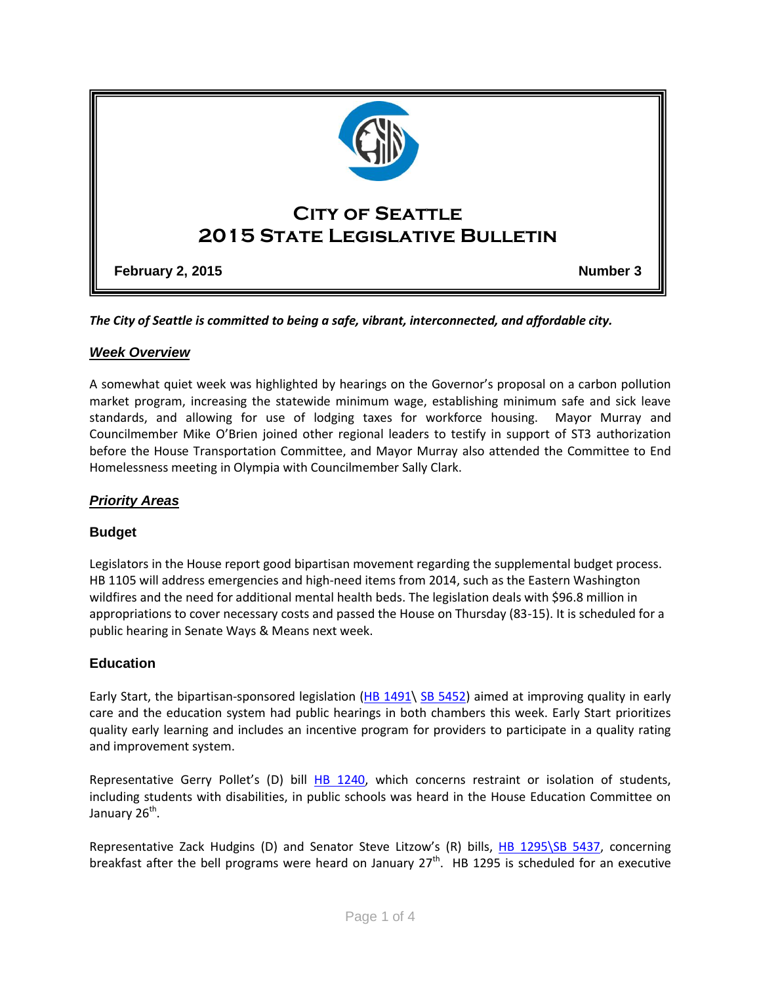

*The City of Seattle is committed to being a safe, vibrant, interconnected, and affordable city.* 

### *Week Overview*

A somewhat quiet week was highlighted by hearings on the Governor's proposal on a carbon pollution market program, increasing the statewide minimum wage, establishing minimum safe and sick leave standards, and allowing for use of lodging taxes for workforce housing. Mayor Murray and Councilmember Mike O'Brien joined other regional leaders to testify in support of ST3 authorization before the House Transportation Committee, and Mayor Murray also attended the Committee to End Homelessness meeting in Olympia with Councilmember Sally Clark.

## *Priority Areas*

# **Budget**

Legislators in the House report good bipartisan movement regarding the supplemental budget process. HB 1105 will address emergencies and high-need items from 2014, such as the Eastern Washington wildfires and the need for additional mental health beds. The legislation deals with \$96.8 million in appropriations to cover necessary costs and passed the House on Thursday (83-15). It is scheduled for a public hearing in Senate Ways & Means next week.

# **Education**

Early Start, the bipartisan-sponsored legislation [\(HB 1491\](http://apps.leg.wa.gov/billinfo/summary.aspx?bill=1491&year=2015) [SB 5452\)](http://apps.leg.wa.gov/billinfo/summary.aspx?bill=5452&year=2015) aimed at improving quality in early care and the education system had public hearings in both chambers this week. Early Start prioritizes quality early learning and includes an incentive program for providers to participate in a quality rating and improvement system.

Representative Gerry Pollet's (D) bill [HB 1240,](http://app.leg.wa.gov/billinfo/summary.aspx?bill=1240&year=2015) which concerns restraint or isolation of students, including students with disabilities, in public schools was heard in the House Education Committee on January 26<sup>th</sup>.

Representative Zack Hudgins (D) and Senator Steve Litzow's (R) bills, [HB 1295\SB 5437,](http://app.leg.wa.gov/billinfo/summary.aspx?bill=1295&year=2015) concerning breakfast after the bell programs were heard on January  $27^{th}$ . HB 1295 is scheduled for an executive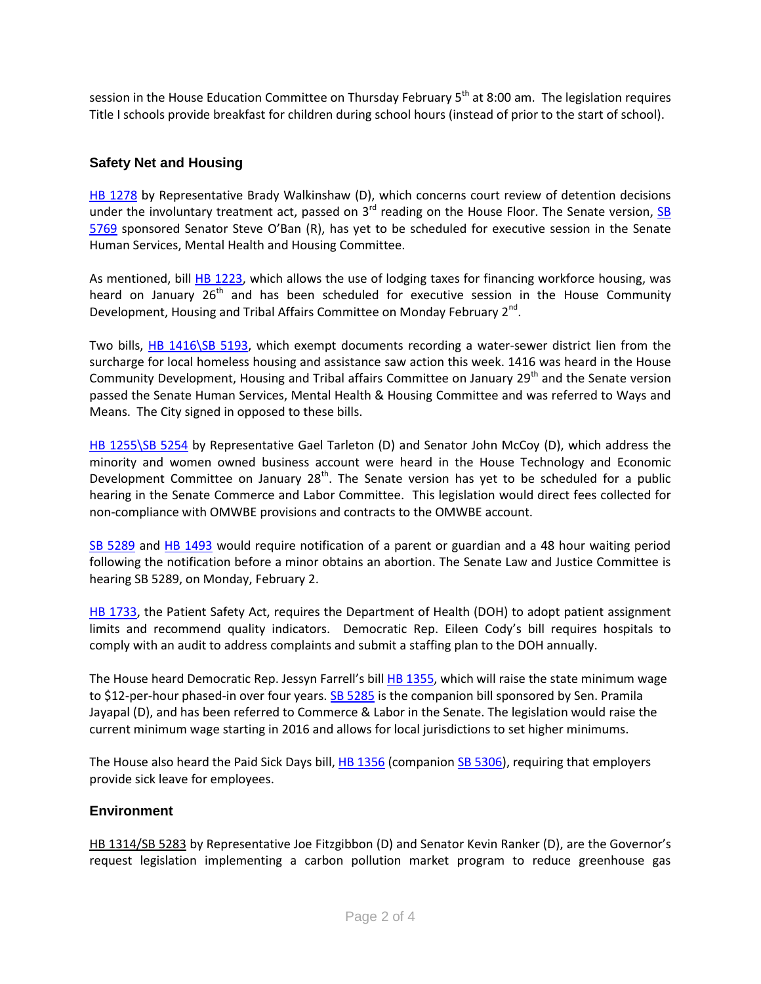session in the House Education Committee on Thursday February  $5<sup>th</sup>$  at 8:00 am. The legislation requires Title I schools provide breakfast for children during school hours (instead of prior to the start of school).

### **Safety Net and Housing**

[HB 1278](http://apps.leg.wa.gov/billinfo/summary.aspx?bill=1278&year=2015) by Representative Brady Walkinshaw (D), which concerns court review of detention decisions under the involuntary treatment act, passed on  $3^{rd}$  reading on the House Floor. The Senate version, [SB](http://apps.leg.wa.gov/billinfo/summary.aspx?bill=5769&year=2015) [5769](http://apps.leg.wa.gov/billinfo/summary.aspx?bill=5769&year=2015) sponsored Senator Steve O'Ban (R), has yet to be scheduled for executive session in the Senate Human Services, Mental Health and Housing Committee.

As mentioned, bill [HB 1223,](http://app.leg.wa.gov/billinfo/summary.aspx?bill=1223&year=2015) which allows the use of lodging taxes for financing workforce housing, was heard on January  $26<sup>th</sup>$  and has been scheduled for executive session in the House Community Development, Housing and Tribal Affairs Committee on Monday February 2<sup>nd</sup>.

Two bills, [HB 1416\SB 5193,](http://app.leg.wa.gov/billinfo/summary.aspx?bill=1416&year=2015) which exempt documents recording a water-sewer district lien from the surcharge for local homeless housing and assistance saw action this week. 1416 was heard in the House Community Development, Housing and Tribal affairs Committee on January 29<sup>th</sup> and the Senate version passed the Senate Human Services, Mental Health & Housing Committee and was referred to Ways and Means. The City signed in opposed to these bills.

[HB 1255\SB 5254](http://app.leg.wa.gov/billinfo/summary.aspx?bill=1255&year=2015) by Representative Gael Tarleton (D) and Senator John McCoy (D), which address the minority and women owned business account were heard in the House Technology and Economic Development Committee on January  $28<sup>th</sup>$ . The Senate version has yet to be scheduled for a public hearing in the Senate Commerce and Labor Committee. This legislation would direct fees collected for non-compliance with OMWBE provisions and contracts to the OMWBE account.

[SB 5289](http://apps.leg.wa.gov/billinfo/summary.aspx?bill=5289&year=2015) and [HB 1493](http://apps.leg.wa.gov/billinfo/summary.aspx?bill=1493&year=2015) would require notification of a parent or guardian and a 48 hour waiting period following the notification before a minor obtains an abortion. The Senate Law and Justice Committee is hearing SB 5289, on Monday, February 2.

[HB 1733,](http://apps.leg.wa.gov/billinfo/summary.aspx?bill=1733&year=2015) the Patient Safety Act, requires the Department of Health (DOH) to adopt patient assignment limits and recommend quality indicators. Democratic Rep. Eileen Cody's bill requires hospitals to comply with an audit to address complaints and submit a staffing plan to the DOH annually.

The House heard Democratic Rep. Jessyn Farrell's bill [HB 1355,](http://apps.leg.wa.gov/billinfo/summary.aspx?bill=1355&year=2015) which will raise the state minimum wage to \$12-per-hour phased-in over four years[. SB 5285](http://apps.leg.wa.gov/billinfo/summary.aspx?bill=5285&year=2015) is the companion bill sponsored by Sen. Pramila Jayapal (D), and has been referred to Commerce & Labor in the Senate. The legislation would raise the current minimum wage starting in 2016 and allows for local jurisdictions to set higher minimums.

The House also heard the Paid Sick Days bill, [HB 1356](http://apps.leg.wa.gov/billinfo/summary.aspx?bill=1356&year=2015) (companion [SB 5306\)](http://apps.leg.wa.gov/billinfo/summary.aspx?bill=5306&year=2015), requiring that employers provide sick leave for employees.

### **Environment**

[HB 1314/SB 5283](http://app.leg.wa.gov/billinfo/summary.aspx?bill=1314&year=2015) by Representative Joe Fitzgibbon (D) and Senator Kevin Ranker (D), are the Governor's request legislation implementing a carbon pollution market program to reduce greenhouse gas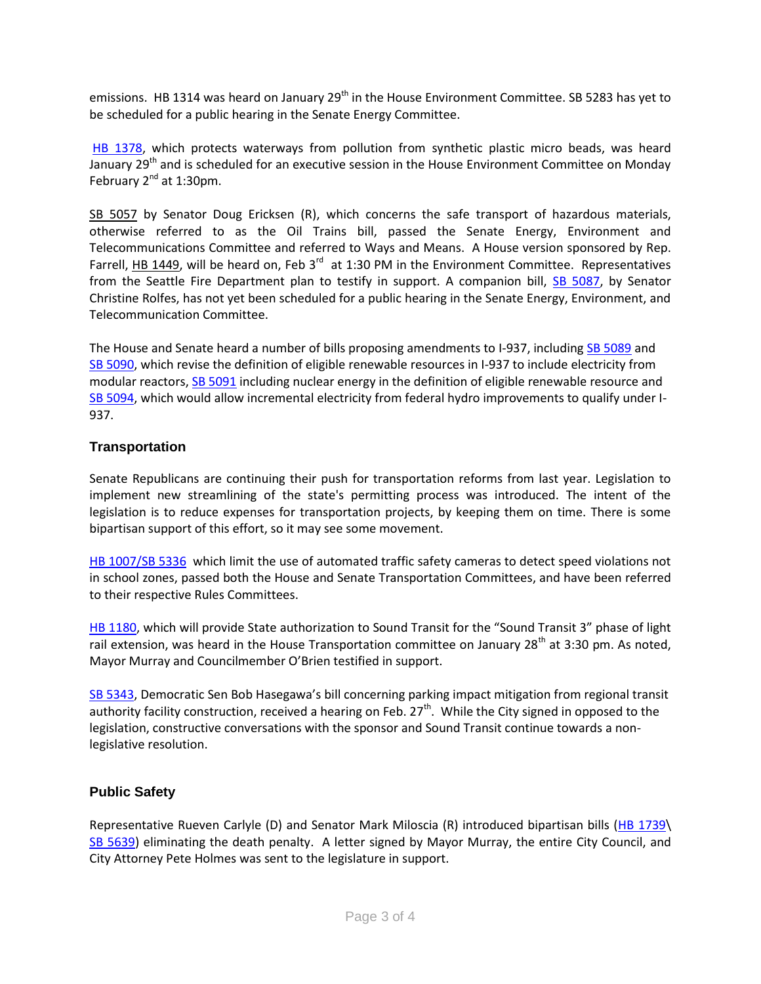emissions. HB 1314 was heard on January 29<sup>th</sup> in the House Environment Committee. SB 5283 has yet to be scheduled for a public hearing in the Senate Energy Committee.

[HB 1378,](http://apps.leg.wa.gov/billinfo/summary.aspx?bill=1378&year=2015) which protects waterways from pollution from synthetic plastic micro beads, was heard January 29<sup>th</sup> and is scheduled for an executive session in the House Environment Committee on Monday February  $2^{nd}$  at 1:30pm.

[SB 5057](http://app.leg.wa.gov/billinfo/summary.aspx?bill=5057&year=2015) by Senator Doug Ericksen (R), which concerns the safe transport of hazardous materials, otherwise referred to as the Oil Trains bill, passed the Senate Energy, Environment and Telecommunications Committee and referred to Ways and Means. A House version sponsored by Rep. Farrell, [HB 1449,](http://apps.leg.wa.gov/billinfo/summary.aspx?bill=1449&year=2015) will be heard on, Feb  $3^{rd}$  at 1:30 PM in the Environment Committee. Representatives from the Seattle Fire Department plan to testify in support. A companion bill, [SB 5087,](http://apps.leg.wa.gov/billinfo/summary.aspx?bill=5087&year=2015) by Senator Christine Rolfes, has not yet been scheduled for a public hearing in the Senate Energy, Environment, and Telecommunication Committee.

The House and Senate heard a number of bills proposing amendments to I-937, including [SB 5089](http://apps.leg.wa.gov/billinfo/summary.aspx?bill=5089&year=2015) and [SB 5090,](http://apps.leg.wa.gov/billinfo/summary.aspx?bill=5090&year=2015) which revise the definition of eligible renewable resources in I-937 to include electricity from modular reactors[, SB 5091](http://apps.leg.wa.gov/billinfo/summary.aspx?bill=5091&year=2015) including nuclear energy in the definition of eligible renewable resource and [SB 5094,](http://apps.leg.wa.gov/billinfo/summary.aspx?bill=5094&year=2015) which would allow incremental electricity from federal hydro improvements to qualify under I-937.

### **Transportation**

Senate Republicans are continuing their push for transportation reforms from last year. Legislation to implement new streamlining of the state's permitting process was introduced. The intent of the legislation is to reduce expenses for transportation projects, by keeping them on time. There is some bipartisan support of this effort, so it may see some movement.

[HB 1007/SB 5336](http://app.leg.wa.gov/billinfo/summary.aspx?bill=1007&year=2015) which limit the use of automated traffic safety cameras to detect speed violations not in school zones, passed both the House and Senate Transportation Committees, and have been referred to their respective Rules Committees.

[HB 1180,](http://app.leg.wa.gov/billinfo/summary.aspx?bill=1180&year=2015) which will provide State authorization to Sound Transit for the "Sound Transit 3" phase of light rail extension, was heard in the House Transportation committee on January 28<sup>th</sup> at 3:30 pm. As noted, Mayor Murray and Councilmember O'Brien testified in support.

[SB 5343,](http://apps.leg.wa.gov/billinfo/summary.aspx?bill=5343&year=2015) Democratic Sen Bob Hasegawa's bill concerning parking impact mitigation from regional transit authority facility construction, received a hearing on Feb. 27<sup>th</sup>. While the City signed in opposed to the legislation, constructive conversations with the sponsor and Sound Transit continue towards a nonlegislative resolution.

### **Public Safety**

Representative Rueven Carlyle (D) and Senator Mark Miloscia (R) introduced bipartisan bills [\(HB 1739\](http://apps.leg.wa.gov/billinfo/summary.aspx?bill=1739&year=2015) [SB 5639\)](http://apps.leg.wa.gov/billinfo/summary.aspx?bill=5639&year=2015) eliminating the death penalty. A letter signed by Mayor Murray, the entire City Council, and City Attorney Pete Holmes was sent to the legislature in support.